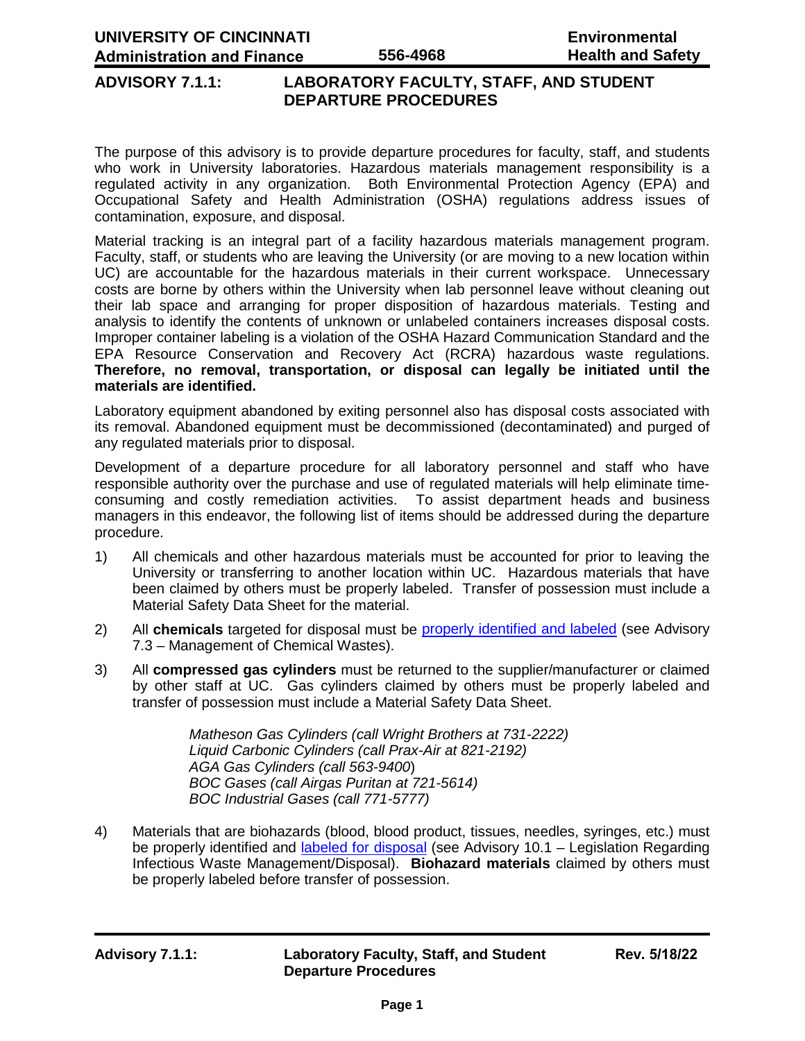### **ADVISORY 7.1.1: LABORATORY FACULTY, STAFF, AND STUDENT DEPARTURE PROCEDURES**

The purpose of this advisory is to provide departure procedures for faculty, staff, and students who work in University laboratories. Hazardous materials management responsibility is a regulated activity in any organization. Both Environmental Protection Agency (EPA) and Occupational Safety and Health Administration (OSHA) regulations address issues of contamination, exposure, and disposal.

Material tracking is an integral part of a facility hazardous materials management program. Faculty, staff, or students who are leaving the University (or are moving to a new location within UC) are accountable for the hazardous materials in their current workspace. Unnecessary costs are borne by others within the University when lab personnel leave without cleaning out their lab space and arranging for proper disposition of hazardous materials. Testing and analysis to identify the contents of unknown or unlabeled containers increases disposal costs. Improper container labeling is a violation of the OSHA Hazard Communication Standard and the EPA Resource Conservation and Recovery Act (RCRA) hazardous waste regulations. **Therefore, no removal, transportation, or disposal can legally be initiated until the materials are identified.**

Laboratory equipment abandoned by exiting personnel also has disposal costs associated with its removal. Abandoned equipment must be decommissioned (decontaminated) and purged of any regulated materials prior to disposal.

Development of a departure procedure for all laboratory personnel and staff who have responsible authority over the purchase and use of regulated materials will help eliminate timeconsuming and costly remediation activities. To assist department heads and business managers in this endeavor, the following list of items should be addressed during the departure procedure.

- 1) All chemicals and other hazardous materials must be accounted for prior to leaving the University or transferring to another location within UC. Hazardous materials that have been claimed by others must be properly labeled. Transfer of possession must include a Material Safety Data Sheet for the material.
- 2) All **chemicals** targeted for disposal must be [properly identified and labeled](http://ehs.uc.edu/chemical) (see Advisory 7.3 – Management of Chemical Wastes).
- 3) All **compressed gas cylinders** must be returned to the supplier/manufacturer or claimed by other staff at UC. Gas cylinders claimed by others must be properly labeled and transfer of possession must include a Material Safety Data Sheet.

*Matheson Gas Cylinders (call Wright Brothers at 731-2222) Liquid Carbonic Cylinders (call Prax-Air at 821-2192) AGA Gas Cylinders (call 563-9400*) *BOC Gases (call Airgas Puritan at 721-5614) BOC Industrial Gases (call 771-5777)*

4) Materials that are biohazards (blood, blood product, tissues, needles, syringes, etc.) must be properly identified and [labeled for disposal](http://ehs.uc.edu/biological) (see Advisory 10.1 – Legislation Regarding Infectious Waste Management/Disposal). **Biohazard materials** claimed by others must be properly labeled before transfer of possession.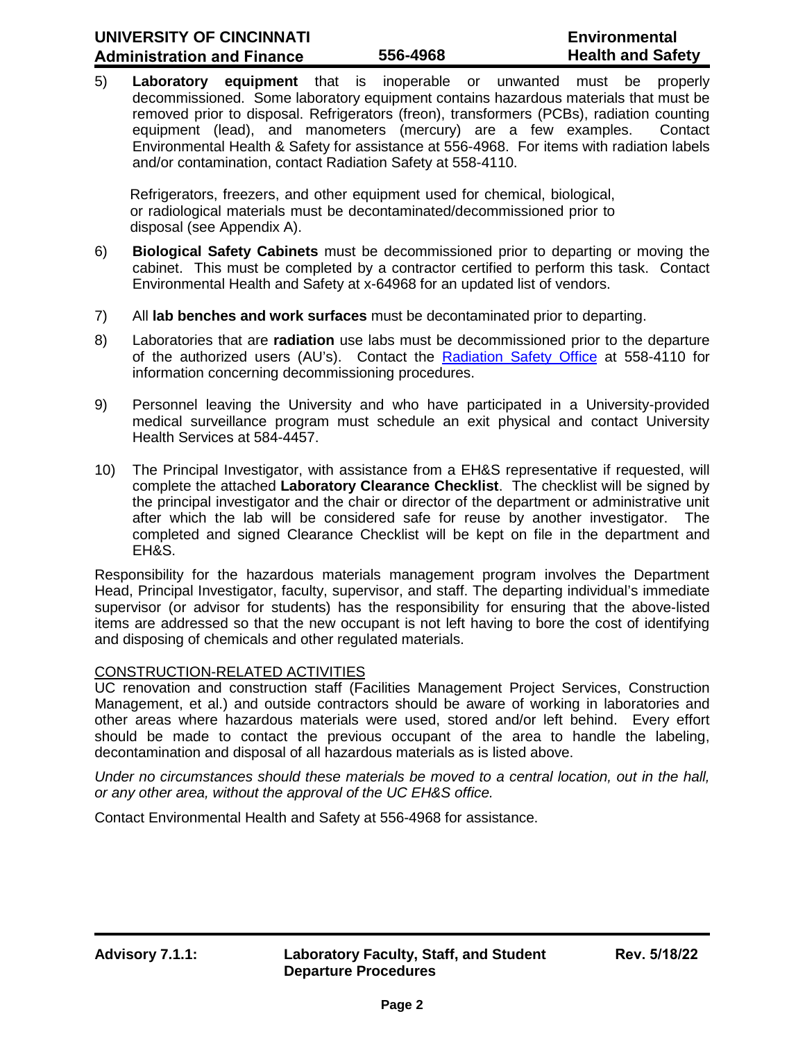5) **Laboratory equipment** that is inoperable or unwanted must be properly decommissioned. Some laboratory equipment contains hazardous materials that must be removed prior to disposal. Refrigerators (freon), transformers (PCBs), radiation counting equipment (lead), and manometers (mercury) are a few examples. Contact Environmental Health & Safety for assistance at 556-4968. For items with radiation labels and/or contamination, contact Radiation Safety at 558-4110.

Refrigerators, freezers, and other equipment used for chemical, biological, or radiological materials must be decontaminated/decommissioned prior to disposal (see Appendix A).

- 6) **Biological Safety Cabinets** must be decommissioned prior to departing or moving the cabinet. This must be completed by a contractor certified to perform this task. Contact Environmental Health and Safety at x-64968 for an updated list of vendors.
- 7) All **lab benches and work surfaces** must be decontaminated prior to departing.
- 8) Laboratories that are **radiation** use labs must be decommissioned prior to the departure of the authorized users (AU's). Contact the [Radiation Safety Office](http://researchcompliance.uc.edu/radsafety) at 558-4110 for information concerning decommissioning procedures.
- 9) Personnel leaving the University and who have participated in a University-provided medical surveillance program must schedule an exit physical and contact University Health Services at 584-4457.
- 10) The Principal Investigator, with assistance from a EH&S representative if requested, will complete the attached **Laboratory Clearance Checklist**. The checklist will be signed by the principal investigator and the chair or director of the department or administrative unit after which the lab will be considered safe for reuse by another investigator. The completed and signed Clearance Checklist will be kept on file in the department and EH&S.

Responsibility for the hazardous materials management program involves the Department Head, Principal Investigator, faculty, supervisor, and staff. The departing individual's immediate supervisor (or advisor for students) has the responsibility for ensuring that the above-listed items are addressed so that the new occupant is not left having to bore the cost of identifying and disposing of chemicals and other regulated materials.

#### CONSTRUCTION-RELATED ACTIVITIES

UC renovation and construction staff (Facilities Management Project Services, Construction Management, et al.) and outside contractors should be aware of working in laboratories and other areas where hazardous materials were used, stored and/or left behind. Every effort should be made to contact the previous occupant of the area to handle the labeling, decontamination and disposal of all hazardous materials as is listed above.

*Under no circumstances should these materials be moved to a central location, out in the hall, or any other area, without the approval of the UC EH&S office.*

Contact Environmental Health and Safety at 556-4968 for assistance.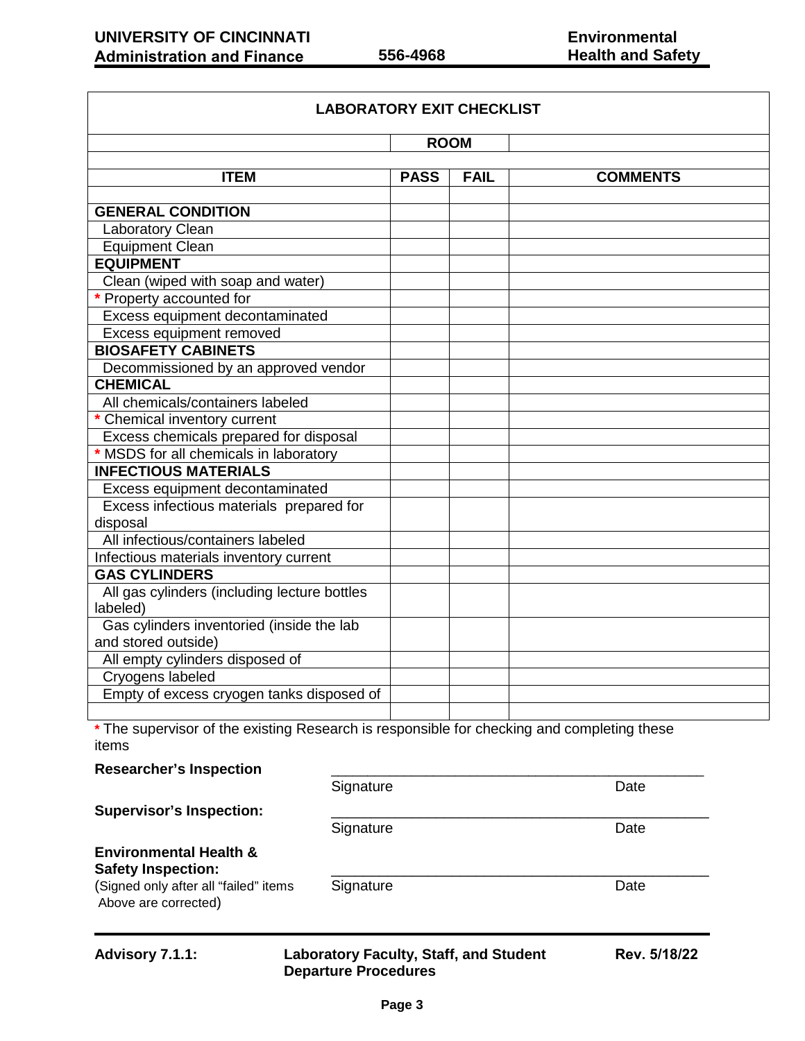| <b>LABORATORY EXIT CHECKLIST</b>                                 |             |             |                 |
|------------------------------------------------------------------|-------------|-------------|-----------------|
| <b>ROOM</b>                                                      |             |             |                 |
| <b>ITEM</b>                                                      | <b>PASS</b> | <b>FAIL</b> | <b>COMMENTS</b> |
| <b>GENERAL CONDITION</b>                                         |             |             |                 |
| Laboratory Clean                                                 |             |             |                 |
| <b>Equipment Clean</b>                                           |             |             |                 |
| <b>EQUIPMENT</b>                                                 |             |             |                 |
| Clean (wiped with soap and water)                                |             |             |                 |
| * Property accounted for                                         |             |             |                 |
| Excess equipment decontaminated                                  |             |             |                 |
| Excess equipment removed                                         |             |             |                 |
| <b>BIOSAFETY CABINETS</b>                                        |             |             |                 |
| Decommissioned by an approved vendor                             |             |             |                 |
| <b>CHEMICAL</b>                                                  |             |             |                 |
| All chemicals/containers labeled                                 |             |             |                 |
| * Chemical inventory current                                     |             |             |                 |
| Excess chemicals prepared for disposal                           |             |             |                 |
| * MSDS for all chemicals in laboratory                           |             |             |                 |
| <b>INFECTIOUS MATERIALS</b>                                      |             |             |                 |
| Excess equipment decontaminated                                  |             |             |                 |
| Excess infectious materials prepared for                         |             |             |                 |
| disposal                                                         |             |             |                 |
| All infectious/containers labeled                                |             |             |                 |
| Infectious materials inventory current                           |             |             |                 |
| <b>GAS CYLINDERS</b>                                             |             |             |                 |
| All gas cylinders (including lecture bottles<br>labeled)         |             |             |                 |
| Gas cylinders inventoried (inside the lab<br>and stored outside) |             |             |                 |
| All empty cylinders disposed of                                  |             |             |                 |
| Cryogens labeled                                                 |             |             |                 |
| Empty of excess cryogen tanks disposed of                        |             |             |                 |
|                                                                  |             |             |                 |

**\*** The supervisor of the existing Research is responsible for checking and completing these items

| <b>Advisory 7.1.1:</b>                                                                                                          | <b>Laboratory Faculty, Staff, and Student</b><br><b>Departure Procedures</b> | Rev. 5/18/22 |
|---------------------------------------------------------------------------------------------------------------------------------|------------------------------------------------------------------------------|--------------|
| <b>Environmental Health &amp;</b><br><b>Safety Inspection:</b><br>(Signed only after all "failed" items<br>Above are corrected) | Signature                                                                    | Date         |
| <b>Supervisor's Inspection:</b>                                                                                                 | Signature                                                                    | Date         |
|                                                                                                                                 | Signature                                                                    | Date         |
| <b>Researcher's Inspection</b>                                                                                                  |                                                                              |              |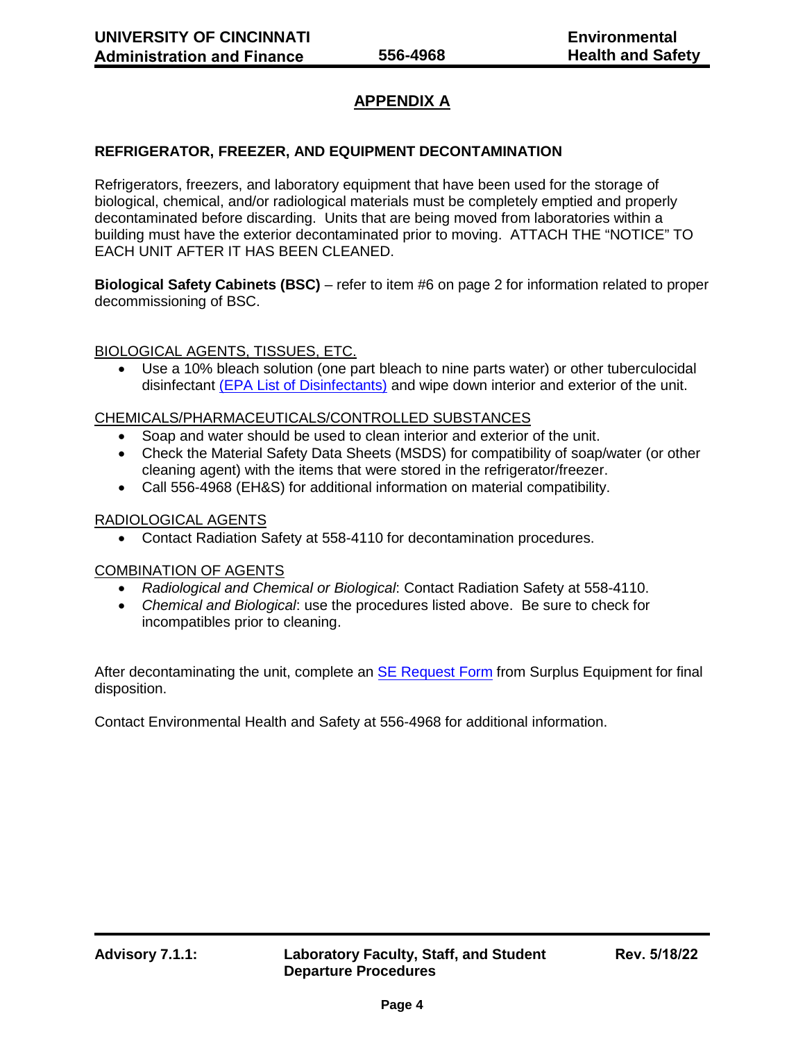## **APPENDIX A**

#### **REFRIGERATOR, FREEZER, AND EQUIPMENT DECONTAMINATION**

Refrigerators, freezers, and laboratory equipment that have been used for the storage of biological, chemical, and/or radiological materials must be completely emptied and properly decontaminated before discarding. Units that are being moved from laboratories within a building must have the exterior decontaminated prior to moving. ATTACH THE "NOTICE" TO EACH UNIT AFTER IT HAS BEEN CLEANED.

**Biological Safety Cabinets (BSC)** – refer to item #6 on page 2 for information related to proper decommissioning of BSC.

#### BIOLOGICAL AGENTS, TISSUES, ETC.

• Use a 10% bleach solution (one part bleach to nine parts water) or other tuberculocidal disinfectant [\(EPA List of Disinfectants\)](https://www.epa.gov/pesticide-registration/list-b-epas-registered-tuberculocide-products-effective-against) and wipe down interior and exterior of the unit.

#### CHEMICALS/PHARMACEUTICALS/CONTROLLED SUBSTANCES

- Soap and water should be used to clean interior and exterior of the unit.
- Check the Material Safety Data Sheets (MSDS) for compatibility of soap/water (or other cleaning agent) with the items that were stored in the refrigerator/freezer.
- Call 556-4968 (EH&S) for additional information on material compatibility.

#### RADIOLOGICAL AGENTS

• Contact Radiation Safety at 558-4110 for decontamination procedures.

#### COMBINATION OF AGENTS

- *Radiological and Chemical or Biological*: Contact Radiation Safety at 558-4110.
- *Chemical and Biological*: use the procedures listed above. Be sure to check for incompatibles prior to cleaning.

After decontaminating the unit, complete an [SE Request Form](https://mailuc.sharepoint.com/sites/afController/SitePages/AssetWorks.aspx) from Surplus Equipment for final disposition.

Contact Environmental Health and Safety at 556-4968 for additional information.